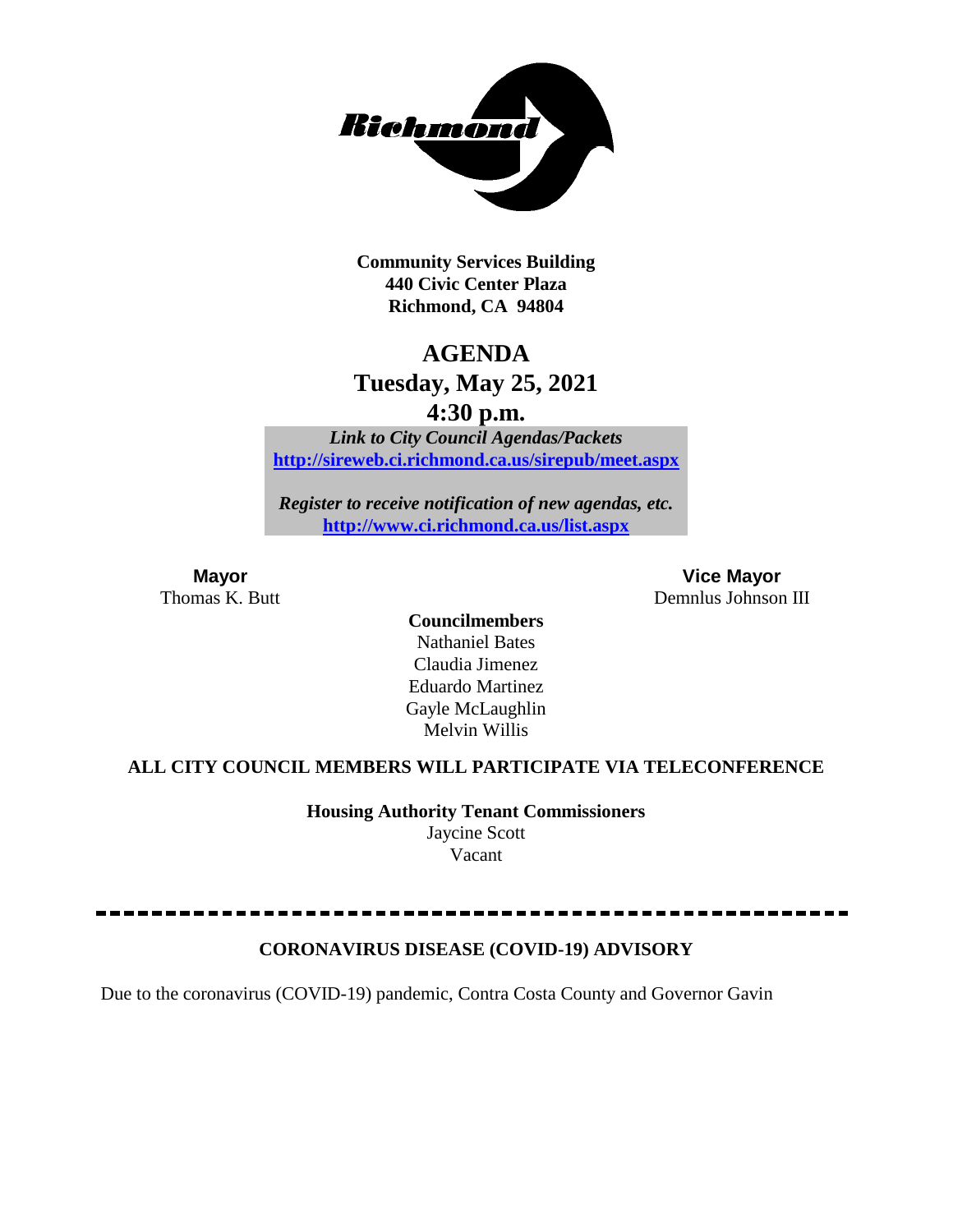

**Community Services Building 440 Civic Center Plaza Richmond, CA 94804**

## **AGENDA**

# **Tuesday, May 25, 2021**

**4:30 p.m.**

*Link to City Council Agendas/Packets* **<http://sireweb.ci.richmond.ca.us/sirepub/meet.aspx>**

*Register to receive notification of new agendas, etc.* **<http://www.ci.richmond.ca.us/list.aspx>**

**Mayor Vice Mayor** Thomas K. Butt Demnlus Johnson III

> **Councilmembers** Nathaniel Bates Claudia Jimenez Eduardo Martinez Gayle McLaughlin Melvin Willis

#### **ALL CITY COUNCIL MEMBERS WILL PARTICIPATE VIA TELECONFERENCE**

**Housing Authority Tenant Commissioners** Jaycine Scott Vacant

#### **CORONAVIRUS DISEASE (COVID-19) ADVISORY**

Due to the coronavirus (COVID-19) pandemic, Contra Costa County and Governor Gavin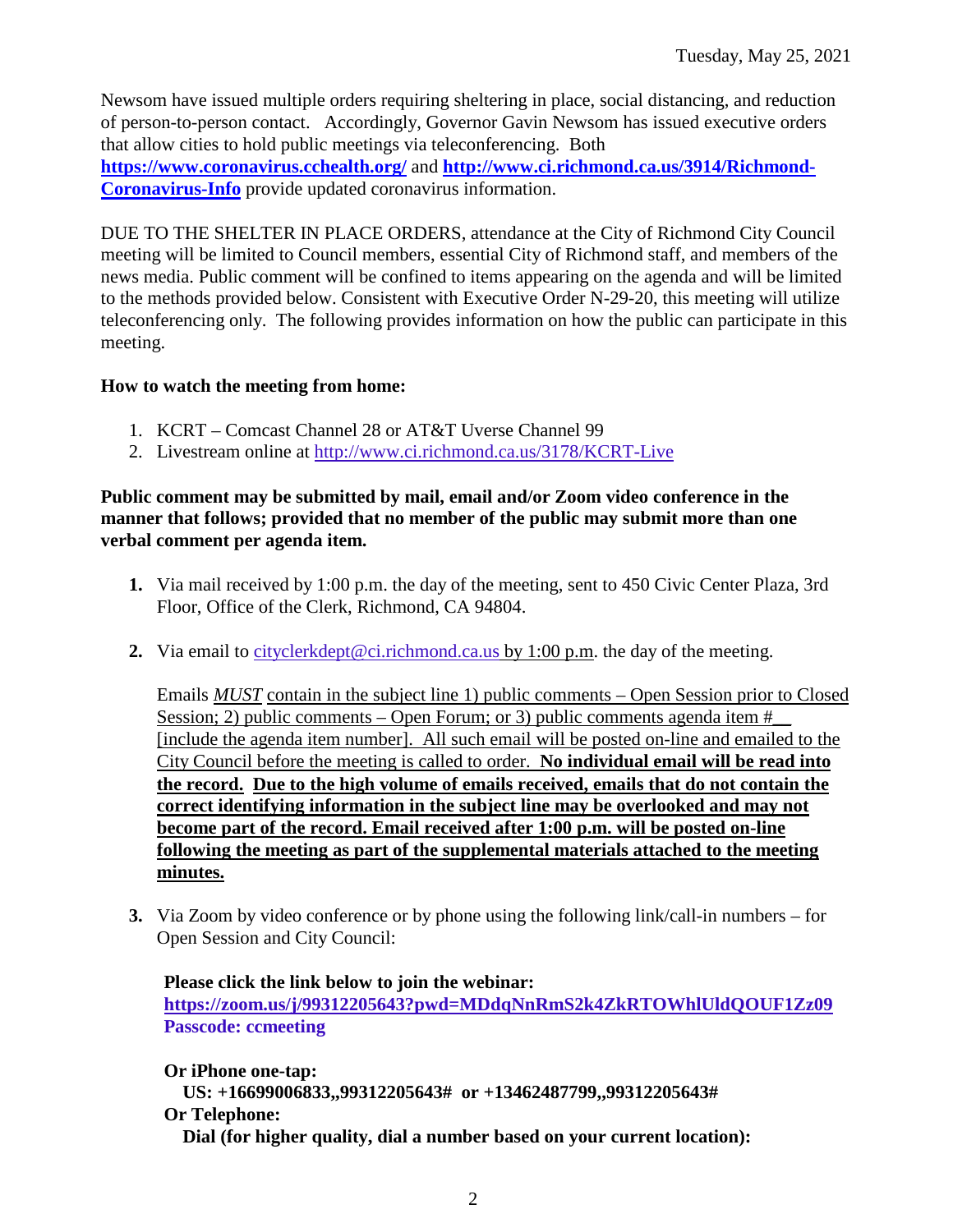Newsom have issued multiple orders requiring sheltering in place, social distancing, and reduction of person-to-person contact. Accordingly, Governor Gavin Newsom has issued executive orders that allow cities to hold public meetings via teleconferencing. Both **<https://www.coronavirus.cchealth.org/>** and **[http://www.ci.richmond.ca.us/3914/Richmond-](http://www.ci.richmond.ca.us/3914/Richmond-Coronavirus-Info)[Coronavirus-Info](http://www.ci.richmond.ca.us/3914/Richmond-Coronavirus-Info)** provide updated coronavirus information.

DUE TO THE SHELTER IN PLACE ORDERS, attendance at the City of Richmond City Council meeting will be limited to Council members, essential City of Richmond staff, and members of the news media. Public comment will be confined to items appearing on the agenda and will be limited to the methods provided below. Consistent with Executive Order N-29-20, this meeting will utilize teleconferencing only. The following provides information on how the public can participate in this meeting.

#### **How to watch the meeting from home:**

- 1. KCRT Comcast Channel 28 or AT&T Uverse Channel 99
- 2. Livestream online at<http://www.ci.richmond.ca.us/3178/KCRT-Live>

#### **Public comment may be submitted by mail, email and/or Zoom video conference in the manner that follows; provided that no member of the public may submit more than one verbal comment per agenda item.**

- **1.** Via mail received by 1:00 p.m. the day of the meeting, sent to 450 Civic Center Plaza, 3rd Floor, Office of the Clerk, Richmond, CA 94804.
- **2.** Via email to [cityclerkdept@ci.richmond.ca.us](mailto:cityclerkdept@ci.richmond.ca.us) by 1:00 p.m. the day of the meeting.

Emails *MUST* contain in the subject line 1) public comments – Open Session prior to Closed Session; 2) public comments – Open Forum; or 3) public comments agenda item  $#$ [include the agenda item number]. All such email will be posted on-line and emailed to the City Council before the meeting is called to order. **No individual email will be read into the record. Due to the high volume of emails received, emails that do not contain the correct identifying information in the subject line may be overlooked and may not become part of the record. Email received after 1:00 p.m. will be posted on-line following the meeting as part of the supplemental materials attached to the meeting minutes.**

**3.** Via Zoom by video conference or by phone using the following link/call-in numbers – for Open Session and City Council:

**Please click the link below to join the webinar: <https://zoom.us/j/99312205643?pwd=MDdqNnRmS2k4ZkRTOWhlUldQOUF1Zz09> Passcode: ccmeeting**

**Or iPhone one-tap: US: +16699006833,,99312205643# or +13462487799,,99312205643# Or Telephone: Dial (for higher quality, dial a number based on your current location):**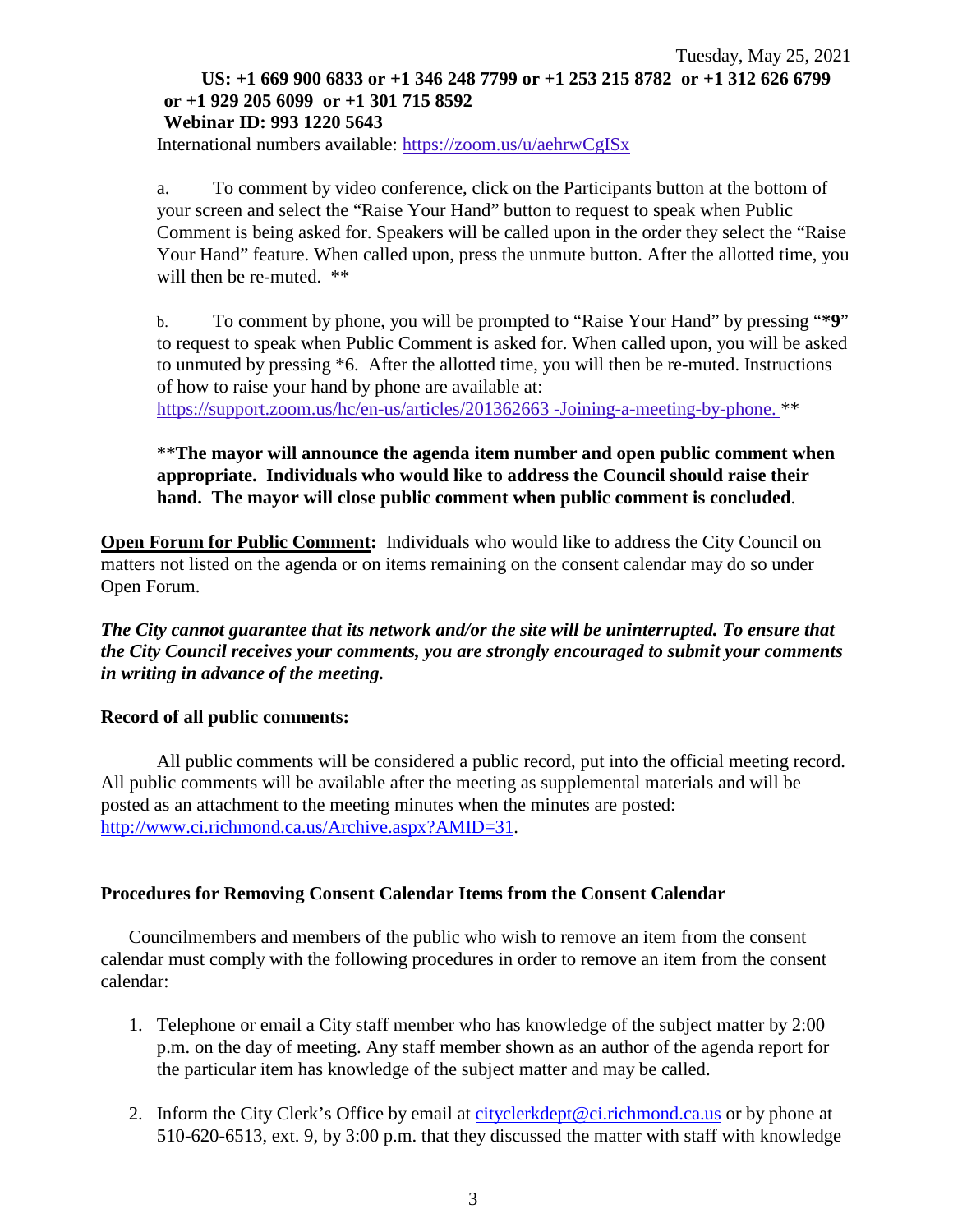#### Tuesday, May 25, 2021 **US: +1 669 900 6833 or +1 346 248 7799 or +1 253 215 8782 or +1 312 626 6799 or +1 929 205 6099 or +1 301 715 8592 Webinar ID: 993 1220 5643**

International numbers available: <https://zoom.us/u/aehrwCgISx>

a. To comment by video conference, click on the Participants button at the bottom of your screen and select the "Raise Your Hand" button to request to speak when Public Comment is being asked for. Speakers will be called upon in the order they select the "Raise Your Hand" feature. When called upon, press the unmute button. After the allotted time, you will then be re-muted.  $**$ 

b. To comment by phone, you will be prompted to "Raise Your Hand" by pressing "**\*9**" to request to speak when Public Comment is asked for. When called upon, you will be asked to unmuted by pressing \*6. After the allotted time, you will then be re-muted. Instructions of how to raise your hand by phone are available at:

[https://support.zoom.us/hc/en-us/articles/201362663 -Joining-a-meeting-by-phone.](https://support.zoom.us/hc/en-us/articles/201362663) \*\*

#### \*\***The mayor will announce the agenda item number and open public comment when appropriate. Individuals who would like to address the Council should raise their hand. The mayor will close public comment when public comment is concluded**.

**Open Forum for Public Comment:** Individuals who would like to address the City Council on matters not listed on the agenda or on items remaining on the consent calendar may do so under Open Forum.

*The City cannot guarantee that its network and/or the site will be uninterrupted. To ensure that the City Council receives your comments, you are strongly encouraged to submit your comments in writing in advance of the meeting.* 

#### **Record of all public comments:**

All public comments will be considered a public record, put into the official meeting record. All public comments will be available after the meeting as supplemental materials and will be posted as an attachment to the meeting minutes when the minutes are posted: [http://www.ci.richmond.ca.us/Archive.aspx?AMID=31.](http://www.ci.richmond.ca.us/Archive.aspx?AMID=31)

#### **Procedures for Removing Consent Calendar Items from the Consent Calendar**

Councilmembers and members of the public who wish to remove an item from the consent calendar must comply with the following procedures in order to remove an item from the consent calendar:

- 1. Telephone or email a City staff member who has knowledge of the subject matter by 2:00 p.m. on the day of meeting. Any staff member shown as an author of the agenda report for the particular item has knowledge of the subject matter and may be called.
- 2. Inform the City Clerk's Office by email at [cityclerkdept@ci.richmond.ca.us](mailto:cityclerkdept@ci.richmond.ca.us) or by phone at 510-620-6513, ext. 9, by 3:00 p.m. that they discussed the matter with staff with knowledge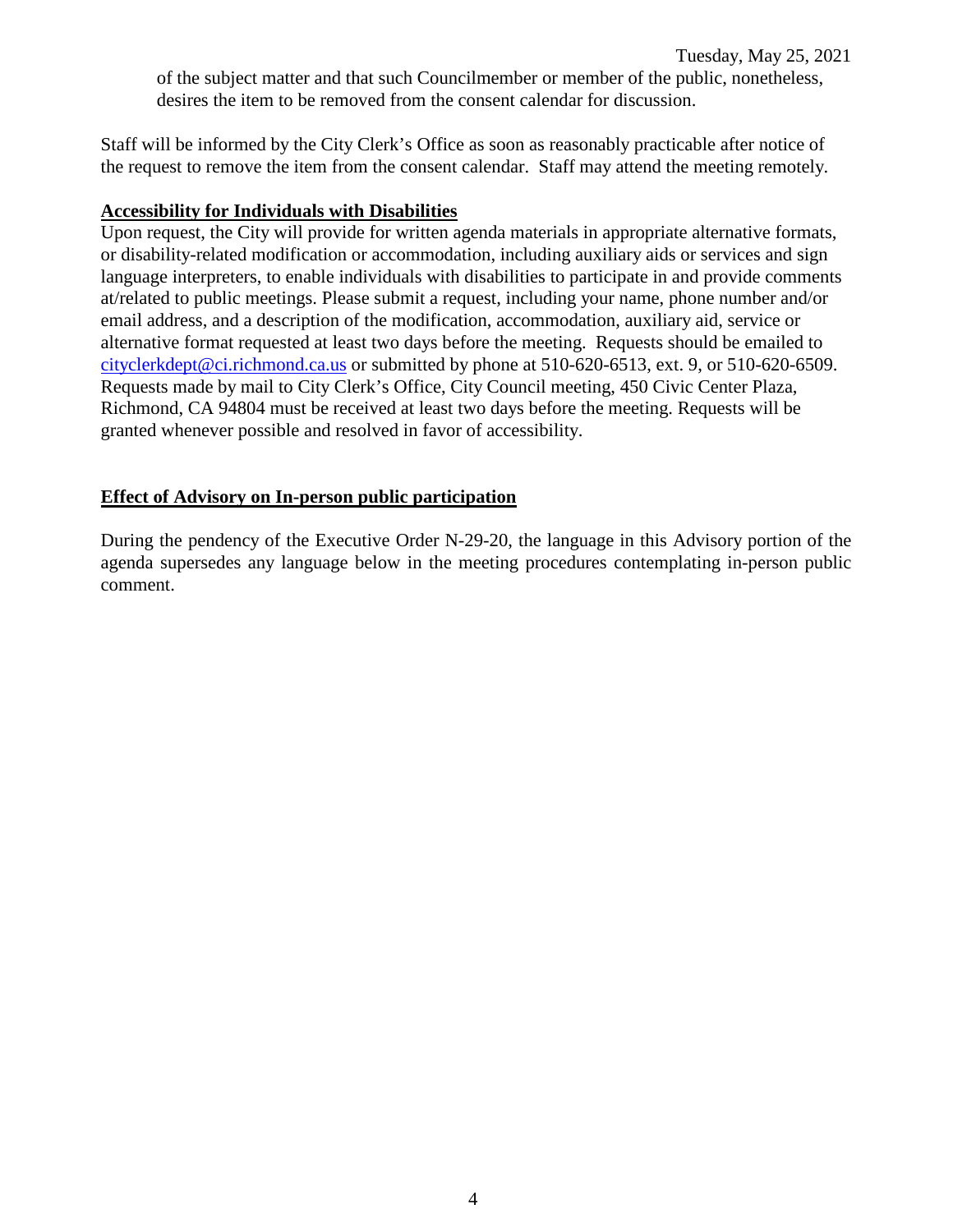Staff will be informed by the City Clerk's Office as soon as reasonably practicable after notice of the request to remove the item from the consent calendar. Staff may attend the meeting remotely.

#### **Accessibility for Individuals with Disabilities**

Upon request, the City will provide for written agenda materials in appropriate alternative formats, or disability-related modification or accommodation, including auxiliary aids or services and sign language interpreters, to enable individuals with disabilities to participate in and provide comments at/related to public meetings. Please submit a request, including your name, phone number and/or email address, and a description of the modification, accommodation, auxiliary aid, service or alternative format requested at least two days before the meeting. Requests should be emailed to [cityclerkdept@ci.richmond.ca.us](mailto:cityclerkdept@ci.richmond.ca.us) or submitted by phone at 510-620-6513, ext. 9, or 510-620-6509. Requests made by mail to City Clerk's Office, City Council meeting, 450 Civic Center Plaza, Richmond, CA 94804 must be received at least two days before the meeting. Requests will be granted whenever possible and resolved in favor of accessibility.

#### **Effect of Advisory on In-person public participation**

During the pendency of the Executive Order N-29-20, the language in this Advisory portion of the agenda supersedes any language below in the meeting procedures contemplating in-person public comment.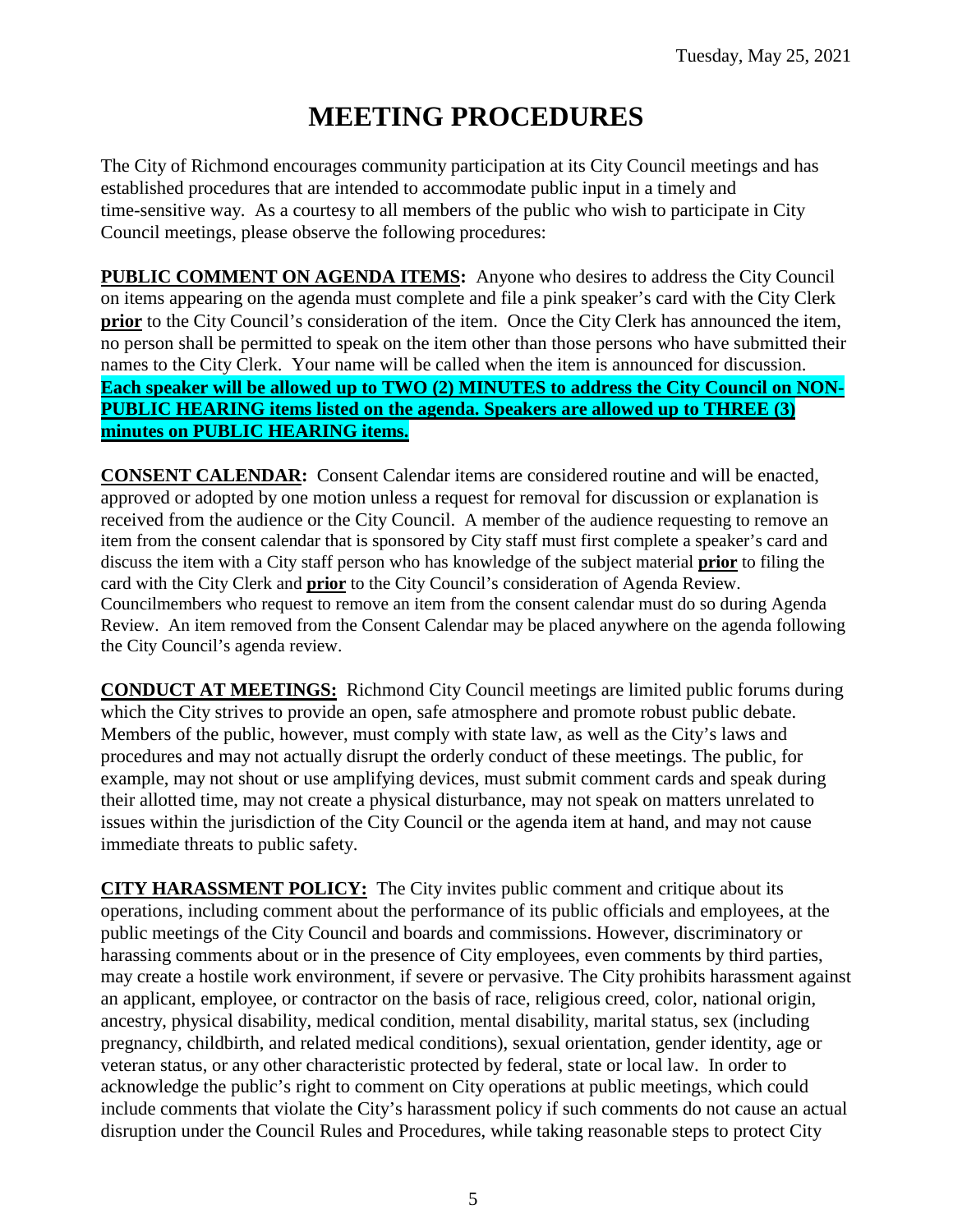# **MEETING PROCEDURES**

The City of Richmond encourages community participation at its City Council meetings and has established procedures that are intended to accommodate public input in a timely and time-sensitive way. As a courtesy to all members of the public who wish to participate in City Council meetings, please observe the following procedures:

**PUBLIC COMMENT ON AGENDA ITEMS:** Anyone who desires to address the City Council on items appearing on the agenda must complete and file a pink speaker's card with the City Clerk **prior** to the City Council's consideration of the item. Once the City Clerk has announced the item, no person shall be permitted to speak on the item other than those persons who have submitted their names to the City Clerk. Your name will be called when the item is announced for discussion. **Each speaker will be allowed up to TWO (2) MINUTES to address the City Council on NON-PUBLIC HEARING items listed on the agenda. Speakers are allowed up to THREE (3) minutes on PUBLIC HEARING items.**

**CONSENT CALENDAR:** Consent Calendar items are considered routine and will be enacted, approved or adopted by one motion unless a request for removal for discussion or explanation is received from the audience or the City Council. A member of the audience requesting to remove an item from the consent calendar that is sponsored by City staff must first complete a speaker's card and discuss the item with a City staff person who has knowledge of the subject material **prior** to filing the card with the City Clerk and **prior** to the City Council's consideration of Agenda Review. Councilmembers who request to remove an item from the consent calendar must do so during Agenda Review. An item removed from the Consent Calendar may be placed anywhere on the agenda following the City Council's agenda review.

**CONDUCT AT MEETINGS:** Richmond City Council meetings are limited public forums during which the City strives to provide an open, safe atmosphere and promote robust public debate. Members of the public, however, must comply with state law, as well as the City's laws and procedures and may not actually disrupt the orderly conduct of these meetings. The public, for example, may not shout or use amplifying devices, must submit comment cards and speak during their allotted time, may not create a physical disturbance, may not speak on matters unrelated to issues within the jurisdiction of the City Council or the agenda item at hand, and may not cause immediate threats to public safety.

**CITY HARASSMENT POLICY:** The City invites public comment and critique about its operations, including comment about the performance of its public officials and employees, at the public meetings of the City Council and boards and commissions. However, discriminatory or harassing comments about or in the presence of City employees, even comments by third parties, may create a hostile work environment, if severe or pervasive. The City prohibits harassment against an applicant, employee, or contractor on the basis of race, religious creed, color, national origin, ancestry, physical disability, medical condition, mental disability, marital status, sex (including pregnancy, childbirth, and related medical conditions), sexual orientation, gender identity, age or veteran status, or any other characteristic protected by federal, state or local law. In order to acknowledge the public's right to comment on City operations at public meetings, which could include comments that violate the City's harassment policy if such comments do not cause an actual disruption under the Council Rules and Procedures, while taking reasonable steps to protect City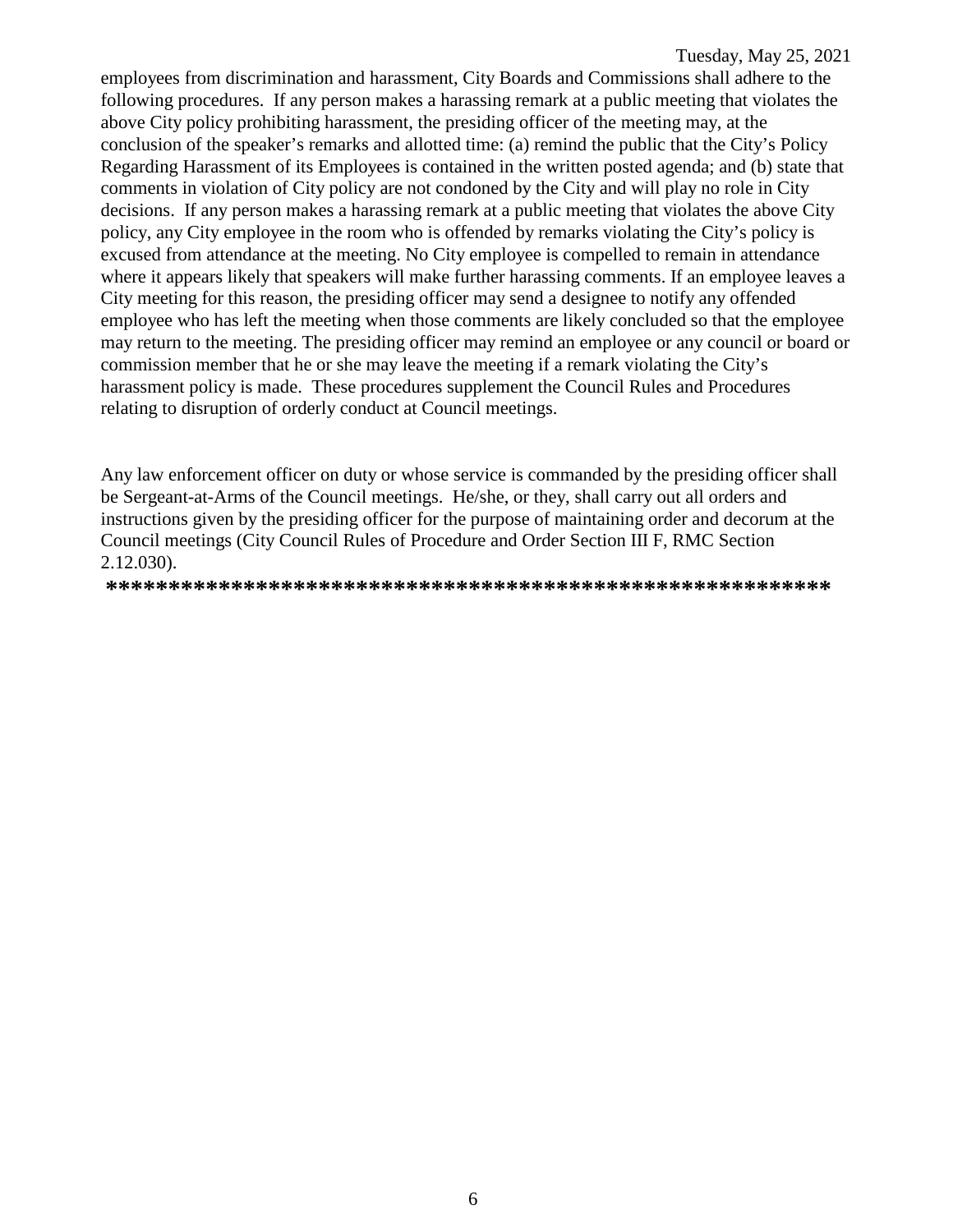employees from discrimination and harassment, City Boards and Commissions shall adhere to the following procedures. If any person makes a harassing remark at a public meeting that violates the above City policy prohibiting harassment, the presiding officer of the meeting may, at the conclusion of the speaker's remarks and allotted time: (a) remind the public that the City's Policy Regarding Harassment of its Employees is contained in the written posted agenda; and (b) state that comments in violation of City policy are not condoned by the City and will play no role in City decisions. If any person makes a harassing remark at a public meeting that violates the above City policy, any City employee in the room who is offended by remarks violating the City's policy is excused from attendance at the meeting. No City employee is compelled to remain in attendance where it appears likely that speakers will make further harassing comments. If an employee leaves a City meeting for this reason, the presiding officer may send a designee to notify any offended employee who has left the meeting when those comments are likely concluded so that the employee may return to the meeting. The presiding officer may remind an employee or any council or board or commission member that he or she may leave the meeting if a remark violating the City's harassment policy is made. These procedures supplement the Council Rules and Procedures relating to disruption of orderly conduct at Council meetings.

Any law enforcement officer on duty or whose service is commanded by the presiding officer shall be Sergeant-at-Arms of the Council meetings. He/she, or they, shall carry out all orders and instructions given by the presiding officer for the purpose of maintaining order and decorum at the Council meetings (City Council Rules of Procedure and Order Section III F, RMC Section 2.12.030).

**\*\*\*\*\*\*\*\*\*\*\*\*\*\*\*\*\*\*\*\*\*\*\*\*\*\*\*\*\*\*\*\*\*\*\*\*\*\*\*\*\*\*\*\*\*\*\*\*\*\*\*\*\*\*\*\*\*\***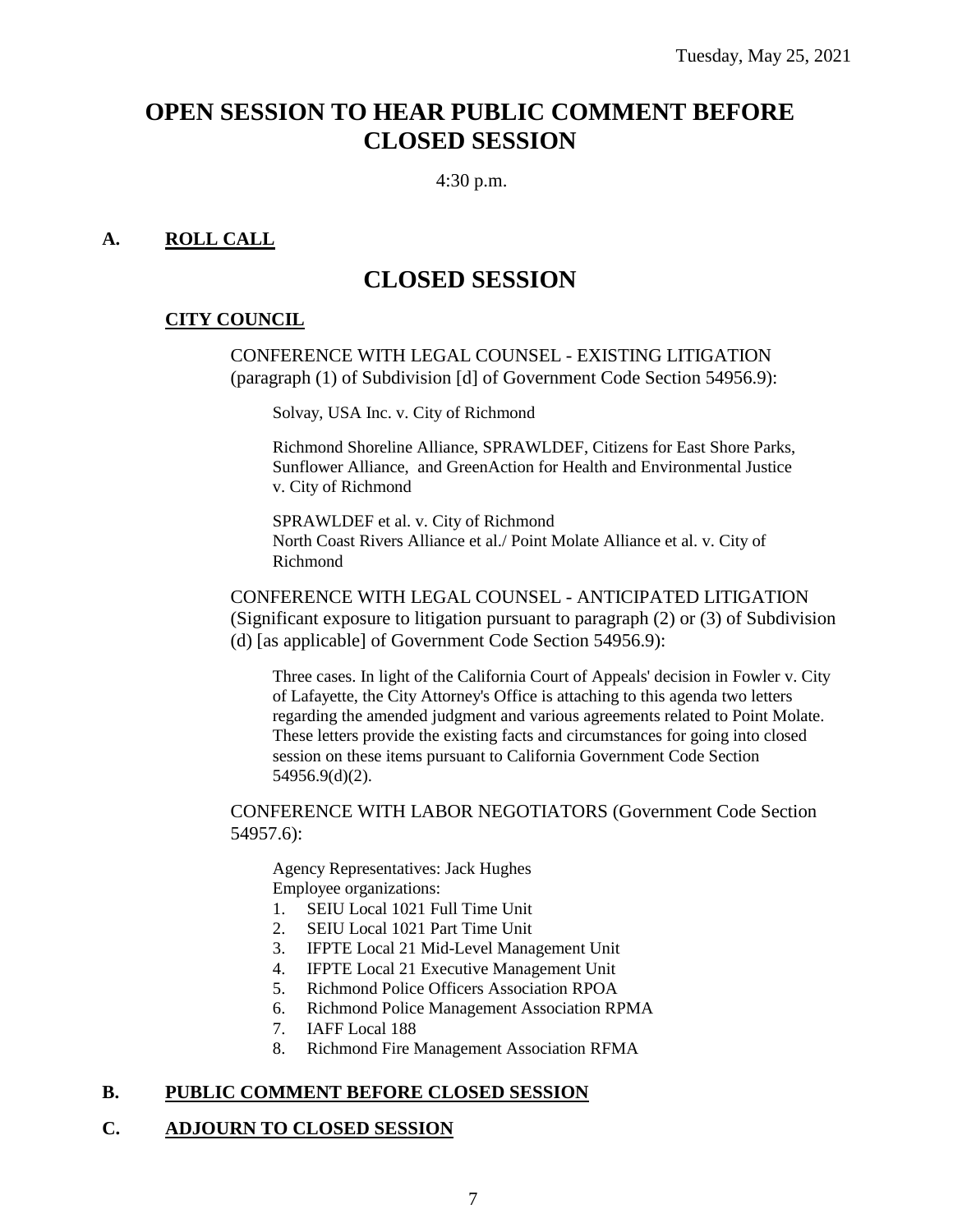## **OPEN SESSION TO HEAR PUBLIC COMMENT BEFORE CLOSED SESSION**

4:30 p.m.

#### **A. ROLL CALL**

## **CLOSED SESSION**

#### **CITY COUNCIL**

CONFERENCE WITH LEGAL COUNSEL - EXISTING LITIGATION (paragraph (1) of Subdivision [d] of Government Code Section 54956.9):

Solvay, USA Inc. v. City of Richmond

Richmond Shoreline Alliance, SPRAWLDEF, Citizens for East Shore Parks, Sunflower Alliance, and GreenAction for Health and Environmental Justice v. City of Richmond

SPRAWLDEF et al. v. City of Richmond North Coast Rivers Alliance et al./ Point Molate Alliance et al. v. City of Richmond

#### CONFERENCE WITH LEGAL COUNSEL - ANTICIPATED LITIGATION (Significant exposure to litigation pursuant to paragraph (2) or (3) of Subdivision (d) [as applicable] of Government Code Section 54956.9):

Three cases. In light of the California Court of Appeals' decision in Fowler v. City of Lafayette, the City Attorney's Office is attaching to this agenda two letters regarding the amended judgment and various agreements related to Point Molate. These letters provide the existing facts and circumstances for going into closed session on these items pursuant to California Government Code Section 54956.9(d)(2).

CONFERENCE WITH LABOR NEGOTIATORS (Government Code Section 54957.6):

Agency Representatives: Jack Hughes Employee organizations:

- 1. SEIU Local 1021 Full Time Unit
- 2. SEIU Local 1021 Part Time Unit
- 3. IFPTE Local 21 Mid-Level Management Unit
- 4. IFPTE Local 21 Executive Management Unit
- 5. Richmond Police Officers Association RPOA
- 6. Richmond Police Management Association RPMA
- 7. IAFF Local 188
- 8. Richmond Fire Management Association RFMA

#### **B. PUBLIC COMMENT BEFORE CLOSED SESSION**

#### **C. ADJOURN TO CLOSED SESSION**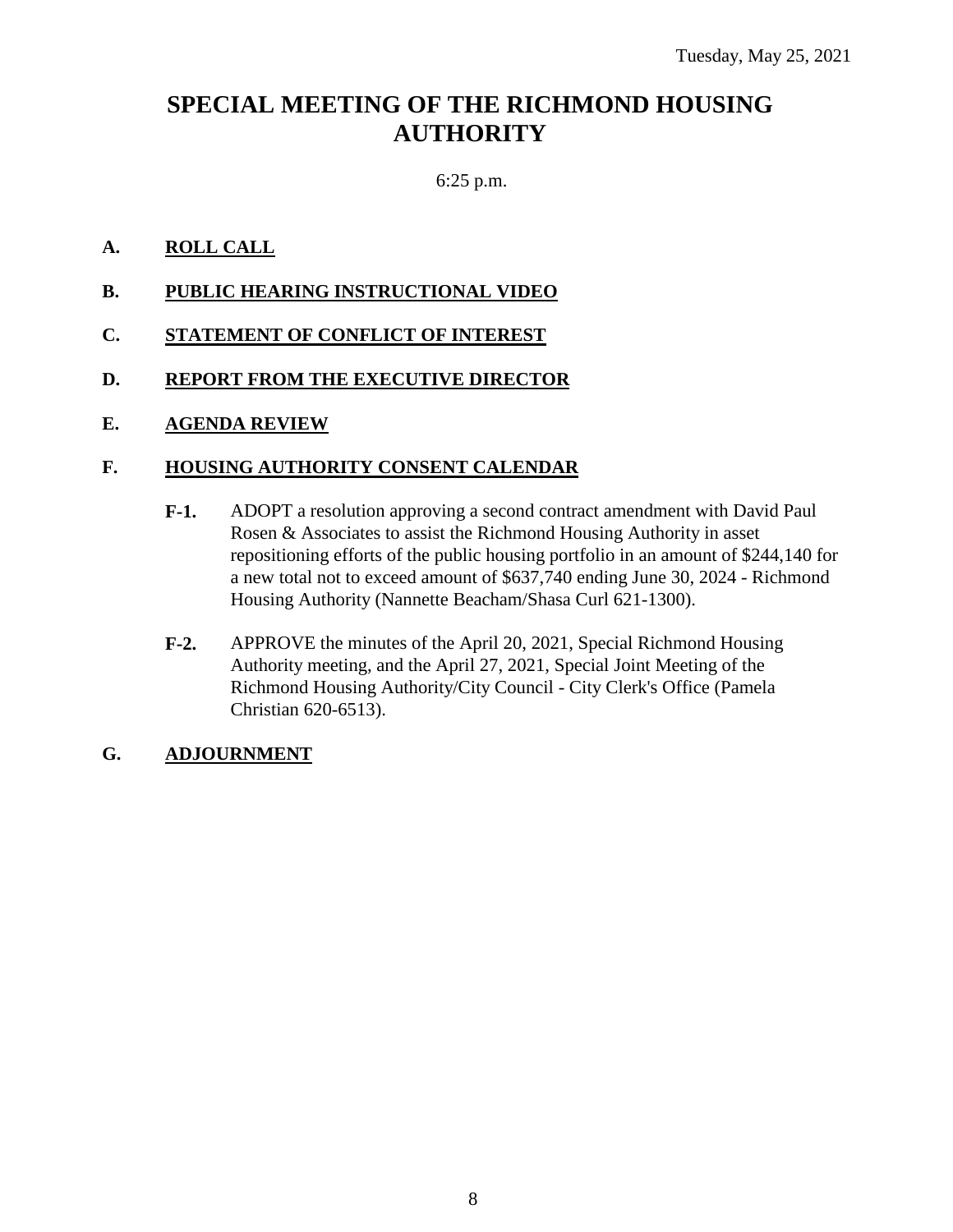## **SPECIAL MEETING OF THE RICHMOND HOUSING AUTHORITY**

#### 6:25 p.m.

#### **A. ROLL CALL**

- **B. PUBLIC HEARING INSTRUCTIONAL VIDEO**
- **C. STATEMENT OF CONFLICT OF INTEREST**
- **D. REPORT FROM THE EXECUTIVE DIRECTOR**

#### **E. AGENDA REVIEW**

#### **F. HOUSING AUTHORITY CONSENT CALENDAR**

- **F-1.** ADOPT a resolution approving a second contract amendment with David Paul Rosen & Associates to assist the Richmond Housing Authority in asset repositioning efforts of the public housing portfolio in an amount of \$244,140 for a new total not to exceed amount of \$637,740 ending June 30, 2024 - Richmond Housing Authority (Nannette Beacham/Shasa Curl 621-1300).
- **F-2.** APPROVE the minutes of the April 20, 2021, Special Richmond Housing Authority meeting, and the April 27, 2021, Special Joint Meeting of the Richmond Housing Authority/City Council - City Clerk's Office (Pamela Christian 620-6513).

#### **G. ADJOURNMENT**